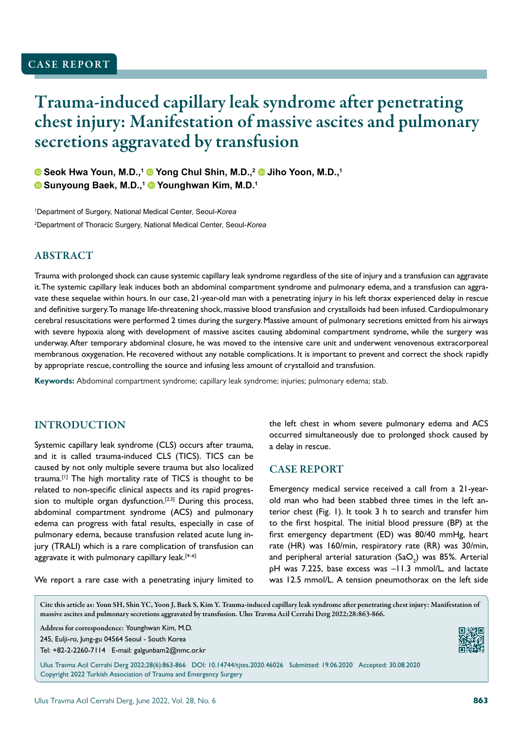# Trauma-induced capillary leak syndrome after penetrating chest injury: Manifestation of massive ascites and pulmonary secretions aggravated by transfusion

**Seok Hwa Youn, M.D.,1 Yong Chul Shin, M.D.,2 Jiho Yoon, M.D.,1 C** Sunyoung Baek, M.D.,<sup>1</sup> C Younghwan Kim, M.D.<sup>1</sup>

1 Department of Surgery, National Medical Center, Seoul-*Korea* 2 Department of Thoracic Surgery, National Medical Center, Seoul-*Korea*

# ABSTRACT

Trauma with prolonged shock can cause systemic capillary leak syndrome regardless of the site of injury and a transfusion can aggravate it. The systemic capillary leak induces both an abdominal compartment syndrome and pulmonary edema, and a transfusion can aggravate these sequelae within hours. In our case, 21-year-old man with a penetrating injury in his left thorax experienced delay in rescue and definitive surgery. To manage life-threatening shock, massive blood transfusion and crystalloids had been infused. Cardiopulmonary cerebral resuscitations were performed 2 times during the surgery. Massive amount of pulmonary secretions emitted from his airways with severe hypoxia along with development of massive ascites causing abdominal compartment syndrome, while the surgery was underway. After temporary abdominal closure, he was moved to the intensive care unit and underwent venovenous extracorporeal membranous oxygenation. He recovered without any notable complications. It is important to prevent and correct the shock rapidly by appropriate rescue, controlling the source and infusing less amount of crystalloid and transfusion.

**Keywords:** Abdominal compartment syndrome; capillary leak syndrome; injuries; pulmonary edema; stab.

## INTRODUCTION

Systemic capillary leak syndrome (CLS) occurs after trauma, and it is called trauma-induced CLS (TICS). TICS can be caused by not only multiple severe trauma but also localized trauma.[1] The high mortality rate of TICS is thought to be related to non-specific clinical aspects and its rapid progression to multiple organ dysfunction.<sup>[2,3]</sup> During this process, abdominal compartment syndrome (ACS) and pulmonary edema can progress with fatal results, especially in case of pulmonary edema, because transfusion related acute lung injury (TRALI) which is a rare complication of transfusion can aggravate it with pulmonary capillary leak. $[4-6]$ 

We report a rare case with a penetrating injury limited to

the left chest in whom severe pulmonary edema and ACS occurred simultaneously due to prolonged shock caused by a delay in rescue.

#### CASE REPORT

Emergency medical service received a call from a 21-yearold man who had been stabbed three times in the left anterior chest (Fig. 1). It took 3 h to search and transfer him to the first hospital. The initial blood pressure (BP) at the first emergency department (ED) was 80/40 mmHg, heart rate (HR) was 160/min, respiratory rate (RR) was 30/min, and peripheral arterial saturation (SaO<sub>2</sub>) was 85%. Arterial pH was 7.225, base excess was –11.3 mmol/L, and lactate was 12.5 mmol/L. A tension pneumothorax on the left side

Cite this article as: Youn SH, Shin YC, Yoon J, Baek S, Kim Y. Trauma-induced capillary leak syndrome after penetrating chest injury: Manifestation of massive ascites and pulmonary secretions aggravated by transfusion. Ulus Travma Acil Cerrahi Derg 2022;28:863-866.

Address for correspondence: Younghwan Kim, M.D.

245, Eulji-ro, Jung-gu 04564 Seoul - South Korea

Tel: +82-2-2260-7114 E-mail: galgunbam2@nmc.or.kr



Ulus Travma Acil Cerrahi Derg 2022;28(6):863-866 DOI: 10.14744/tjtes.2020.46026 Submitted: 19.06.2020 Accepted: 30.08.2020 Copyright 2022 Turkish Association of Trauma and Emergency Surgery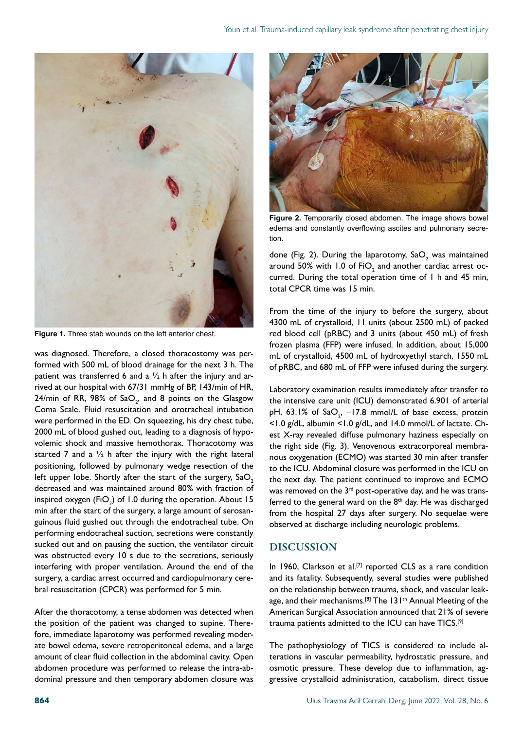

**Figure 1.** Three stab wounds on the left anterior chest.

was diagnosed. Therefore, a closed thoracostomy was performed with 500 mL of blood drainage for the next 3 h. The patient was transferred 6 and a  $\frac{1}{2}$  h after the injury and arrived at our hospital with 67/31 mmHg of BP, 143/min of HR, 24/min of RR, 98% of Sa $\mathrm{O}_{2^,}$  and 8 points on the Glasgow Coma Scale. Fluid resuscitation and orotracheal intubation were performed in the ED. On squeezing, his dry chest tube, 2000 mL of blood gushed out, leading to a diagnosis of hypovolemic shock and massive hemothorax. Thoracotomy was started 7 and a  $\frac{1}{2}$  h after the injury with the right lateral positioning, followed by pulmonary wedge resection of the left upper lobe. Shortly after the start of the surgery, SaO<sub>2</sub> decreased and was maintained around 80% with fraction of inspired oxygen (FiO $_{\textrm{\tiny{2}}})$  of 1.0 during the operation. About 15 min after the start of the surgery, a large amount of serosanguinous fluid gushed out through the endotracheal tube. On performing endotracheal suction, secretions were constantly sucked out and on pausing the suction, the ventilator circuit was obstructed every 10 s due to the secretions, seriously interfering with proper ventilation. Around the end of the surgery, a cardiac arrest occurred and cardiopulmonary cerebral resuscitation (CPCR) was performed for 5 min.

After the thoracotomy, a tense abdomen was detected when the position of the patient was changed to supine. Therefore, immediate laparotomy was performed revealing moderate bowel edema, severe retroperitoneal edema, and a large amount of clear fluid collection in the abdominal cavity. Open abdomen procedure was performed to release the intra-abdominal pressure and then temporary abdomen closure was



**Figure 2.** Temporarily closed abdomen. The image shows bowel edema and constantly overflowing ascites and pulmonary secretion.

done (Fig. 2). During the laparotomy,  $\text{SaO}_2$  was maintained around 50% with 1.0 of  $FiO_2$  and another cardiac arrest occurred. During the total operation time of 1 h and 45 min, total CPCR time was 15 min.

From the time of the injury to before the surgery, about 4300 mL of crystalloid, 11 units (about 2500 mL) of packed red blood cell (pRBC) and 3 units (about 450 mL) of fresh frozen plasma (FFP) were infused. In addition, about 15,000 mL of crystalloid, 4500 mL of hydroxyethyl starch, 1550 mL of pRBC, and 680 mL of FFP were infused during the surgery.

Laboratory examination results immediately after transfer to the intensive care unit (ICU) demonstrated 6.901 of arterial pH, 63.1% of  $\text{SaO}_{2'}$  –17.8 mmol/L of base excess, protein <1.0 g/dL, albumin <1.0 g/dL, and 14.0 mmol/L of lactate. Chest X-ray revealed diffuse pulmonary haziness especially on the right side (Fig. 3). Venovenous extracorporeal membranous oxygenation (ECMO) was started 30 min after transfer to the ICU. Abdominal closure was performed in the ICU on the next day. The patient continued to improve and ECMO was removed on the 3<sup>rd</sup> post-operative day, and he was transferred to the general ward on the  $8<sup>th</sup>$  day. He was discharged from the hospital 27 days after surgery. No sequelae were observed at discharge including neurologic problems.

#### DISCUSSION

In 1960, Clarkson et al.<sup>[7]</sup> reported CLS as a rare condition and its fatality. Subsequently, several studies were published on the relationship between trauma, shock, and vascular leakage, and their mechanisms.<sup>[8]</sup> The 131<sup>th</sup> Annual Meeting of the American Surgical Association announced that 21% of severe trauma patients admitted to the ICU can have TICS.[9]

The pathophysiology of TICS is considered to include alterations in vascular permeability, hydrostatic pressure, and osmotic pressure. These develop due to inflammation, aggressive crystalloid administration, catabolism, direct tissue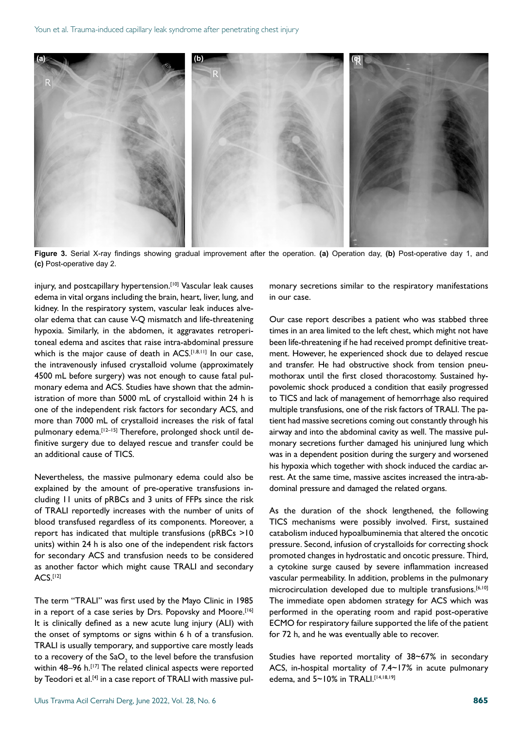

**Figure 3.** Serial X-ray findings showing gradual improvement after the operation. **(a)** Operation day, **(b)** Post-operative day 1, and **(c)** Post-operative day 2.

injury, and postcapillary hypertension.<sup>[10]</sup> Vascular leak causes edema in vital organs including the brain, heart, liver, lung, and kidney. In the respiratory system, vascular leak induces alveolar edema that can cause V-Q mismatch and life-threatening hypoxia. Similarly, in the abdomen, it aggravates retroperitoneal edema and ascites that raise intra-abdominal pressure which is the major cause of death in ACS.<sup>[1,8,11]</sup> In our case, the intravenously infused crystalloid volume (approximately 4500 mL before surgery) was not enough to cause fatal pulmonary edema and ACS. Studies have shown that the administration of more than 5000 mL of crystalloid within 24 h is one of the independent risk factors for secondary ACS, and more than 7000 mL of crystalloid increases the risk of fatal pulmonary edema.<sup>[12-15]</sup> Therefore, prolonged shock until definitive surgery due to delayed rescue and transfer could be an additional cause of TICS.

Nevertheless, the massive pulmonary edema could also be explained by the amount of pre-operative transfusions including 11 units of pRBCs and 3 units of FFPs since the risk of TRALI reportedly increases with the number of units of blood transfused regardless of its components. Moreover, a report has indicated that multiple transfusions (pRBCs >10 units) within 24 h is also one of the independent risk factors for secondary ACS and transfusion needs to be considered as another factor which might cause TRALI and secondary ACS.[12]

The term "TRALI" was first used by the Mayo Clinic in 1985 in a report of a case series by Drs. Popovsky and Moore.<sup>[16]</sup> It is clinically defined as a new acute lung injury (ALI) with the onset of symptoms or signs within 6 h of a transfusion. TRALI is usually temporary, and supportive care mostly leads to a recovery of the Sa $\mathrm{O}_\mathrm{2}$  to the level before the transfusion within 48-96 h.<sup>[17]</sup> The related clinical aspects were reported by Teodori et al.<sup>[4]</sup> in a case report of TRALI with massive pul-

monary secretions similar to the respiratory manifestations in our case.

Our case report describes a patient who was stabbed three times in an area limited to the left chest, which might not have been life-threatening if he had received prompt definitive treatment. However, he experienced shock due to delayed rescue and transfer. He had obstructive shock from tension pneumothorax until the first closed thoracostomy. Sustained hypovolemic shock produced a condition that easily progressed to TICS and lack of management of hemorrhage also required multiple transfusions, one of the risk factors of TRALI. The patient had massive secretions coming out constantly through his airway and into the abdominal cavity as well. The massive pulmonary secretions further damaged his uninjured lung which was in a dependent position during the surgery and worsened his hypoxia which together with shock induced the cardiac arrest. At the same time, massive ascites increased the intra-abdominal pressure and damaged the related organs.

As the duration of the shock lengthened, the following TICS mechanisms were possibly involved. First, sustained catabolism induced hypoalbuminemia that altered the oncotic pressure. Second, infusion of crystalloids for correcting shock promoted changes in hydrostatic and oncotic pressure. Third, a cytokine surge caused by severe inflammation increased vascular permeability. In addition, problems in the pulmonary microcirculation developed due to multiple transfusions.<sup>[6,10]</sup> The immediate open abdomen strategy for ACS which was performed in the operating room and rapid post-operative ECMO for respiratory failure supported the life of the patient for 72 h, and he was eventually able to recover.

Studies have reported mortality of 38~67% in secondary ACS, in-hospital mortality of 7.4~17% in acute pulmonary edema, and  $5 \sim 10\%$  in TRALI.<sup>[14,18,19]</sup>